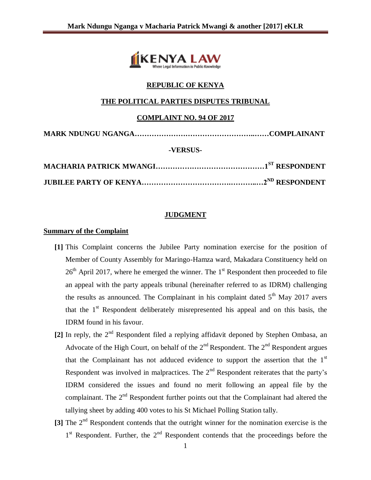

# **REPUBLIC OF KENYA**

## **THE POLITICAL PARTIES DISPUTES TRIBUNAL**

### **COMPLAINT NO. 94 OF 2017**

| -VERSUS- |  |
|----------|--|
|          |  |
|          |  |

## **JUDGMENT**

#### **Summary of the Complaint**

- **[1]** This Complaint concerns the Jubilee Party nomination exercise for the position of Member of County Assembly for Maringo-Hamza ward, Makadara Constituency held on  $26<sup>th</sup>$  April 2017, where he emerged the winner. The 1<sup>st</sup> Respondent then proceeded to file an appeal with the party appeals tribunal (hereinafter referred to as IDRM) challenging the results as announced. The Complainant in his complaint dated  $5<sup>th</sup>$  May 2017 avers that the  $1<sup>st</sup>$  Respondent deliberately misrepresented his appeal and on this basis, the IDRM found in his favour.
- [2] In reply, the 2<sup>nd</sup> Respondent filed a replying affidavit deponed by Stephen Ombasa, an Advocate of the High Court, on behalf of the  $2<sup>nd</sup>$  Respondent. The  $2<sup>nd</sup>$  Respondent argues that the Complainant has not adduced evidence to support the assertion that the  $1<sup>st</sup>$ Respondent was involved in malpractices. The  $2<sup>nd</sup>$  Respondent reiterates that the party's IDRM considered the issues and found no merit following an appeal file by the complainant. The  $2<sup>nd</sup>$  Respondent further points out that the Complainant had altered the tallying sheet by adding 400 votes to his St Michael Polling Station tally.
- **[3]** The 2nd Respondent contends that the outright winner for the nomination exercise is the 1<sup>st</sup> Respondent. Further, the 2<sup>nd</sup> Respondent contends that the proceedings before the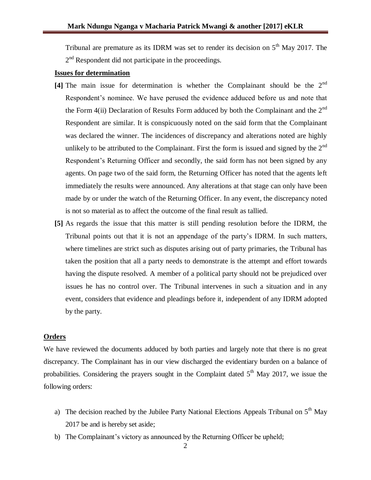Tribunal are premature as its IDRM was set to render its decision on  $5<sup>th</sup>$  May 2017. The  $2<sup>nd</sup>$  Respondent did not participate in the proceedings.

#### **Issues for determination**

- **[4]** The main issue for determination is whether the Complainant should be the 2nd Respondent's nominee. We have perused the evidence adduced before us and note that the Form 4(ii) Declaration of Results Form adduced by both the Complainant and the  $2<sup>nd</sup>$ Respondent are similar. It is conspicuously noted on the said form that the Complainant was declared the winner. The incidences of discrepancy and alterations noted are highly unlikely to be attributed to the Complainant. First the form is issued and signed by the  $2^{nd}$ Respondent's Returning Officer and secondly, the said form has not been signed by any agents. On page two of the said form, the Returning Officer has noted that the agents left immediately the results were announced. Any alterations at that stage can only have been made by or under the watch of the Returning Officer. In any event, the discrepancy noted is not so material as to affect the outcome of the final result as tallied.
- **[5]** As regards the issue that this matter is still pending resolution before the IDRM, the Tribunal points out that it is not an appendage of the party's IDRM. In such matters, where timelines are strict such as disputes arising out of party primaries, the Tribunal has taken the position that all a party needs to demonstrate is the attempt and effort towards having the dispute resolved. A member of a political party should not be prejudiced over issues he has no control over. The Tribunal intervenes in such a situation and in any event, considers that evidence and pleadings before it, independent of any IDRM adopted by the party.

#### **Orders**

We have reviewed the documents adduced by both parties and largely note that there is no great discrepancy. The Complainant has in our view discharged the evidentiary burden on a balance of probabilities. Considering the prayers sought in the Complaint dated  $5<sup>th</sup>$  May 2017, we issue the following orders:

- a) The decision reached by the Jubilee Party National Elections Appeals Tribunal on  $5<sup>th</sup>$  May 2017 be and is hereby set aside;
- b) The Complainant's victory as announced by the Returning Officer be upheld;